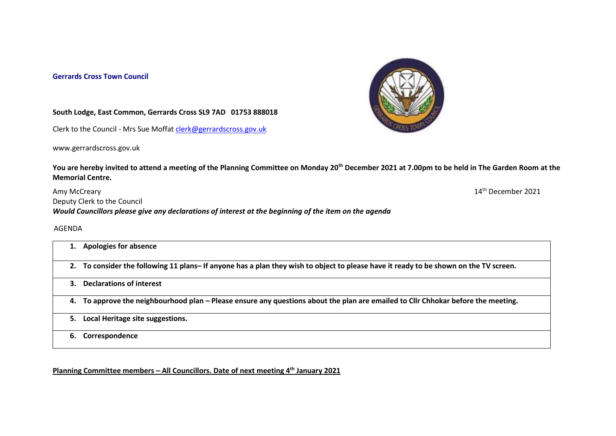## **Gerrards Cross Town Council**



14<sup>th</sup> December 2021

## **South Lodge, East Common, Gerrards Cross SL9 7AD 01753 888018**

Clerk to the Council - Mrs Sue Moffat [clerk@gerrardscross.gov.uk](mailto:clerk@gerrardscross.gov.uk)

www.gerrardscross.gov.uk

**You are hereby invited to attend a meeting of the Planning Committee on Monday 20th December 2021 at 7.00pm to be held in The Garden Room at the Memorial Centre.** 

Amy McCreary 14 Deputy Clerk to the Council *Would Councillors please give any declarations of interest at the beginning of the item on the agenda*

AGENDA

|    | <b>Apologies for absence</b>                                                                                                          |
|----|---------------------------------------------------------------------------------------------------------------------------------------|
|    | 2. To consider the following 11 plans- If anyone has a plan they wish to object to please have it ready to be shown on the TV screen. |
| 3. | <b>Declarations of interest</b>                                                                                                       |
|    | 4. To approve the neighbourhood plan – Please ensure any questions about the plan are emailed to Cllr Chhokar before the meeting.     |
| 5. | Local Heritage site suggestions.                                                                                                      |
|    | Correspondence                                                                                                                        |

**Planning Committee members – All Councillors. Date of next meeting 4 th January 2021**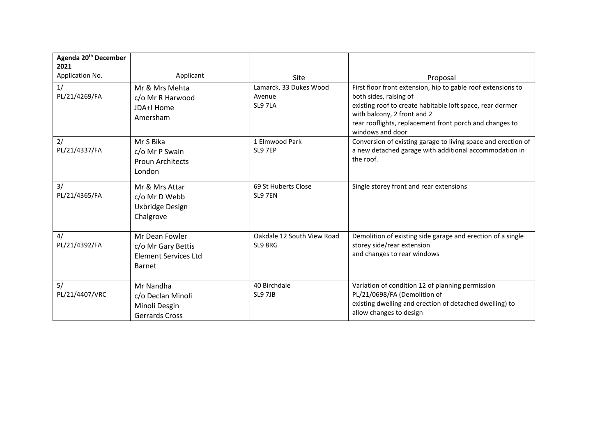| Agenda 20 <sup>th</sup> December |                                                   |                                       |                                                                                           |
|----------------------------------|---------------------------------------------------|---------------------------------------|-------------------------------------------------------------------------------------------|
| 2021<br>Application No.          | Applicant                                         |                                       |                                                                                           |
| 1/                               | Mr & Mrs Mehta                                    | Site<br>Lamarck, 33 Dukes Wood        | Proposal<br>First floor front extension, hip to gable roof extensions to                  |
| PL/21/4269/FA                    | c/o Mr R Harwood                                  | Avenue                                | both sides, raising of                                                                    |
|                                  | JDA+I Home                                        | SL9 7LA                               | existing roof to create habitable loft space, rear dormer                                 |
|                                  | Amersham                                          |                                       | with balcony, 2 front and 2<br>rear rooflights, replacement front porch and changes to    |
|                                  |                                                   |                                       | windows and door                                                                          |
| 2/                               | Mr S Bika                                         | 1 Elmwood Park                        | Conversion of existing garage to living space and erection of                             |
| PL/21/4337/FA                    | c/o Mr P Swain                                    | SL9 7EP                               | a new detached garage with additional accommodation in                                    |
|                                  | <b>Proun Architects</b>                           |                                       | the roof.                                                                                 |
|                                  | London                                            |                                       |                                                                                           |
| 3/<br>PL/21/4365/FA              | Mr & Mrs Attar<br>c/o Mr D Webb                   | 69 St Huberts Close<br>SL9 7EN        | Single storey front and rear extensions                                                   |
|                                  | Uxbridge Design                                   |                                       |                                                                                           |
|                                  | Chalgrove                                         |                                       |                                                                                           |
|                                  |                                                   |                                       |                                                                                           |
| 4/<br>PL/21/4392/FA              | Mr Dean Fowler                                    | Oakdale 12 South View Road<br>SL9 8RG | Demolition of existing side garage and erection of a single<br>storey side/rear extension |
|                                  | c/o Mr Gary Bettis<br><b>Element Services Ltd</b> |                                       | and changes to rear windows                                                               |
|                                  | <b>Barnet</b>                                     |                                       |                                                                                           |
|                                  |                                                   |                                       |                                                                                           |
| 5/                               | Mr Nandha                                         | 40 Birchdale                          | Variation of condition 12 of planning permission                                          |
| PL/21/4407/VRC                   | c/o Declan Minoli                                 | SL9 7JB                               | PL/21/0698/FA (Demolition of                                                              |
|                                  | Minoli Desgin                                     |                                       | existing dwelling and erection of detached dwelling) to                                   |
|                                  | <b>Gerrards Cross</b>                             |                                       | allow changes to design                                                                   |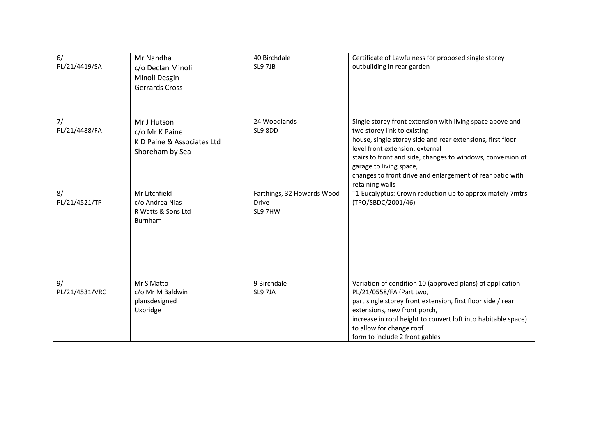| 6/<br>PL/21/4419/SA  | Mr Nandha<br>c/o Declan Minoli<br>Minoli Desgin<br><b>Gerrards Cross</b>       | 40 Birchdale<br>SL9 7JB                               | Certificate of Lawfulness for proposed single storey<br>outbuilding in rear garden                                                                                                                                                                                                                                                                                  |
|----------------------|--------------------------------------------------------------------------------|-------------------------------------------------------|---------------------------------------------------------------------------------------------------------------------------------------------------------------------------------------------------------------------------------------------------------------------------------------------------------------------------------------------------------------------|
| 7/<br>PL/21/4488/FA  | Mr J Hutson<br>c/o Mr K Paine<br>K D Paine & Associates Ltd<br>Shoreham by Sea | 24 Woodlands<br>SL9 8DD                               | Single storey front extension with living space above and<br>two storey link to existing<br>house, single storey side and rear extensions, first floor<br>level front extension, external<br>stairs to front and side, changes to windows, conversion of<br>garage to living space,<br>changes to front drive and enlargement of rear patio with<br>retaining walls |
| 8/<br>PL/21/4521/TP  | Mr Litchfield<br>c/o Andrea Nias<br>R Watts & Sons Ltd<br>Burnham              | Farthings, 32 Howards Wood<br><b>Drive</b><br>SL9 7HW | T1 Eucalyptus: Crown reduction up to approximately 7mtrs<br>(TPO/SBDC/2001/46)                                                                                                                                                                                                                                                                                      |
| 9/<br>PL/21/4531/VRC | Mr S Matto<br>c/o Mr M Baldwin<br>plansdesigned<br>Uxbridge                    | 9 Birchdale<br>SL9 7JA                                | Variation of condition 10 (approved plans) of application<br>PL/21/0558/FA (Part two,<br>part single storey front extension, first floor side / rear<br>extensions, new front porch,<br>increase in roof height to convert loft into habitable space)<br>to allow for change roof<br>form to include 2 front gables                                                 |